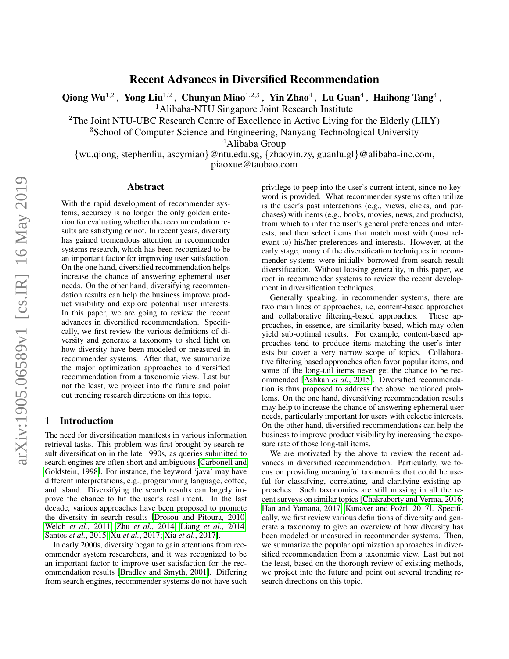# Recent Advances in Diversified Recommendation

Qiong Wu<sup>1,2</sup> , Yong Liu<sup>1,2</sup> , Chunyan Miao<sup>1,2,3</sup> , Yin Zhao<sup>4</sup> , Lu Guan<sup>4</sup> , Haihong Tang<sup>4</sup> ,

<sup>1</sup>Alibaba-NTU Singapore Joint Research Institute

<sup>2</sup>The Joint NTU-UBC Research Centre of Excellence in Active Living for the Elderly (LILY)

<sup>3</sup>School of Computer Science and Engineering, Nanyang Technological University

<sup>4</sup>Alibaba Group

{wu.qiong, stephenliu, ascymiao}@ntu.edu.sg, {zhaoyin.zy, guanlu.gl}@alibaba-inc.com, piaoxue@taobao.com

### Abstract

With the rapid development of recommender systems, accuracy is no longer the only golden criterion for evaluating whether the recommendation results are satisfying or not. In recent years, diversity has gained tremendous attention in recommender systems research, which has been recognized to be an important factor for improving user satisfaction. On the one hand, diversified recommendation helps increase the chance of answering ephemeral user needs. On the other hand, diversifying recommendation results can help the business improve product visibility and explore potential user interests. In this paper, we are going to review the recent advances in diversified recommendation. Specifically, we first review the various definitions of diversity and generate a taxonomy to shed light on how diversity have been modeled or measured in recommender systems. After that, we summarize the major optimization approaches to diversified recommendation from a taxonomic view. Last but not the least, we project into the future and point out trending research directions on this topic.

#### 1 Introduction

The need for diversification manifests in various information retrieval tasks. This problem was first brought by search result diversification in the late 1990s, as queries submitted to search engines are often short and ambiguous [\[Carbonell and](#page-5-0) [Goldstein, 1998\]](#page-5-0). For instance, the keyword 'java' may have different interpretations, e.g., programming language, coffee, and island. Diversifying the search results can largely improve the chance to hit the user's real intent. In the last decade, various approaches have been proposed to promote the diversity in search results [\[Drosou and Pitoura, 2010;](#page-5-1) Welch *et al.*[, 2011;](#page-6-0) Zhu *et al.*[, 2014;](#page-6-1) Liang *et al.*[, 2014;](#page-6-2) [Santos](#page-6-3) *et al.*, 2015; Xu *et al.*[, 2017;](#page-6-4) Xia *et al.*[, 2017\]](#page-6-5).

In early 2000s, diversity began to gain attentions from recommender system researchers, and it was recognized to be an important factor to improve user satisfaction for the recommendation results [\[Bradley and Smyth, 2001\]](#page-5-2). Differing from search engines, recommender systems do not have such privilege to peep into the user's current intent, since no keyword is provided. What recommender systems often utilize is the user's past interactions (e.g., views, clicks, and purchases) with items (e.g., books, movies, news, and products), from which to infer the user's general preferences and interests, and then select items that match most with (most relevant to) his/her preferences and interests. However, at the early stage, many of the diversification techniques in recommender systems were initially borrowed from search result diversification. Without loosing generality, in this paper, we root in recommender systems to review the recent development in diversification techniques.

Generally speaking, in recommender systems, there are two main lines of approaches, i.e, content-based approaches and collaborative filtering-based approaches. These approaches, in essence, are similarity-based, which may often yield sub-optimal results. For example, content-based approaches tend to produce items matching the user's interests but cover a very narrow scope of topics. Collaborative filtering based approaches often favor popular items, and some of the long-tail items never get the chance to be recommended [\[Ashkan](#page-5-3) *et al.*, 2015]. Diversified recommendation is thus proposed to address the above mentioned problems. On the one hand, diversifying recommendation results may help to increase the chance of answering ephemeral user needs, particularly important for users with eclectic interests. On the other hand, diversified recommendations can help the business to improve product visibility by increasing the exposure rate of those long-tail items.

We are motivated by the above to review the recent advances in diversified recommendation. Particularly, we focus on providing meaningful taxonomies that could be useful for classifying, correlating, and clarifying existing approaches. Such taxonomies are still missing in all the recent surveys on similar topics [\[Chakraborty and Verma, 2016;](#page-5-4) [Han and Yamana, 2017;](#page-5-5) Kunaver and Požrl, 2017]. Specifically, we first review various definitions of diversity and generate a taxonomy to give an overview of how diversity has been modeled or measured in recommender systems. Then, we summarize the popular optimization approaches in diversified recommendation from a taxonomic view. Last but not the least, based on the thorough review of existing methods, we project into the future and point out several trending research directions on this topic.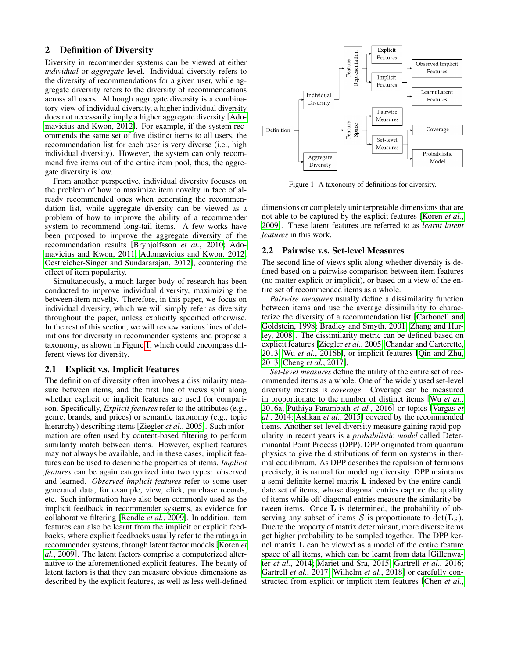# 2 Definition of Diversity

Diversity in recommender systems can be viewed at either *individual* or *aggregate* level. Individual diversity refers to the diversity of recommendations for a given user, while aggregate diversity refers to the diversity of recommendations across all users. Although aggregate diversity is a combinatory view of individual diversity, a higher individual diversity does not necessarily imply a higher aggregate diversity [\[Ado](#page-5-7)[mavicius and Kwon, 2012\]](#page-5-7). For example, if the system recommends the same set of five distinct items to all users, the recommendation list for each user is very diverse (i.e., high individual diversity). However, the system can only recommend five items out of the entire item pool, thus, the aggregate diversity is low.

From another perspective, individual diversity focuses on the problem of how to maximize item novelty in face of already recommended ones when generating the recommendation list, while aggregate diversity can be viewed as a problem of how to improve the ability of a recommender system to recommend long-tail items. A few works have been proposed to improve the aggregate diversity of the recommendation results [\[Brynjolfsson](#page-5-8) *et al.*, 2010; [Ado](#page-5-9)[mavicius and Kwon, 2011;](#page-5-9) [Adomavicius and Kwon, 2012;](#page-5-7) [Oestreicher-Singer and Sundararajan, 2012\]](#page-6-6), countering the effect of item popularity.

Simultaneously, a much larger body of research has been conducted to improve individual diversity, maximizing the between-item novelty. Therefore, in this paper, we focus on individual diversity, which we will simply refer as diversity throughout the paper, unless explicitly specified otherwise. In the rest of this section, we will review various lines of definitions for diversity in recommender systems and propose a taxonomy, as shown in Figure [1,](#page-1-0) which could encompass different views for diversity.

### 2.1 Explicit v.s. Implicit Features

The definition of diversity often involves a dissimilarity measure between items, and the first line of views split along whether explicit or implicit features are used for comparison. Specifically, *Explicit features* refer to the attributes (e.g., genre, brands, and prices) or semantic taxonomy (e.g., topic hierarchy) describing items [\[Ziegler](#page-6-7) *et al.*, 2005]. Such information are often used by content-based filtering to perform similarity match between items. However, explicit features may not always be available, and in these cases, implicit features can be used to describe the properties of items. *Implicit features* can be again categorized into two types: observed and learned. *Observed implicit features* refer to some user generated data, for example, view, click, purchase records, etc. Such information have also been commonly used as the implicit feedback in recommender systems, as evidence for collaborative filtering [\[Rendle](#page-6-8) *et al.*, 2009]. In addition, item features can also be learnt from the implicit or explicit feedbacks, where explicit feedbacks usually refer to the ratings in recommender systems, through latent factor models [\[Koren](#page-5-10) *et al.*[, 2009\]](#page-5-10). The latent factors comprise a computerized alternative to the aforementioned explicit features. The beauty of latent factors is that they can measure obvious dimensions as described by the explicit features, as well as less well-defined

<span id="page-1-0"></span>

Figure 1: A taxonomy of definitions for diversity.

dimensions or completely uninterpretable dimensions that are not able to be captured by the explicit features [\[Koren](#page-5-10) *et al.*, [2009\]](#page-5-10). These latent features are referred to as *learnt latent features* in this work.

#### <span id="page-1-1"></span>2.2 Pairwise v.s. Set-level Measures

The second line of views split along whether diversity is defined based on a pairwise comparison between item features (no matter explicit or implicit), or based on a view of the entire set of recommended items as a whole.

*Pairwise measures* usually define a dissimilarity function between items and use the average dissimilarity to characterize the diversity of a recommendation list [\[Carbonell and](#page-5-0) [Goldstein, 1998;](#page-5-0) [Bradley and Smyth, 2001;](#page-5-2) [Zhang and Hur](#page-6-9)[ley, 2008\]](#page-6-9). The dissimilarity metric can be defined based on explicit features [\[Ziegler](#page-6-7) *et al.*, 2005; [Chandar and Carterette,](#page-5-11) [2013;](#page-5-11) Wu *et al.*[, 2016b\]](#page-6-10), or implicit features [\[Qin and Zhu,](#page-6-11) [2013;](#page-6-11) Cheng *et al.*[, 2017\]](#page-5-12).

*Set-level measures* define the utility of the entire set of recommended items as a whole. One of the widely used set-level diversity metrics is *coverage*. Coverage can be measured in proportionate to the number of distinct items [Wu *[et al.](#page-6-12)*, [2016a;](#page-6-12) [Puthiya Parambath](#page-6-13) *et al.*, 2016] or topics [\[Vargas](#page-6-14) *et al.*[, 2014;](#page-6-14) [Ashkan](#page-5-3) *et al.*, 2015] covered by the recommended items. Another set-level diversity measure gaining rapid popularity in recent years is a *probabilistic model* called Determinantal Point Process (DPP). DPP originated from quantum physics to give the distributions of fermion systems in thermal equilibrium. As DPP describes the repulsion of fermions precisely, it is natural for modeling diversity. DPP maintains a semi-definite kernel matrix L indexed by the entire candidate set of items, whose diagonal entries capture the quality of items while off-diagonal entries measure the similarity between items. Once L is determined, the probability of observing any subset of items S is proportionate to  $\det(\mathbf{L}_{\mathcal{S}})$ . Due to the property of matrix determinant, more diverse items get higher probability to be sampled together. The DPP kernel matrix L can be viewed as a model of the entire feature space of all items, which can be learnt from data [\[Gillenwa](#page-5-13)ter *et al.*[, 2014;](#page-5-13) [Mariet and Sra, 2015;](#page-6-15) [Gartrell](#page-5-14) *et al.*, 2016; [Gartrell](#page-5-15) *et al.*, 2017; [Wilhelm](#page-6-16) *et al.*, 2018] or carefully constructed from explicit or implicit item features [\[Chen](#page-5-16) *et al.*,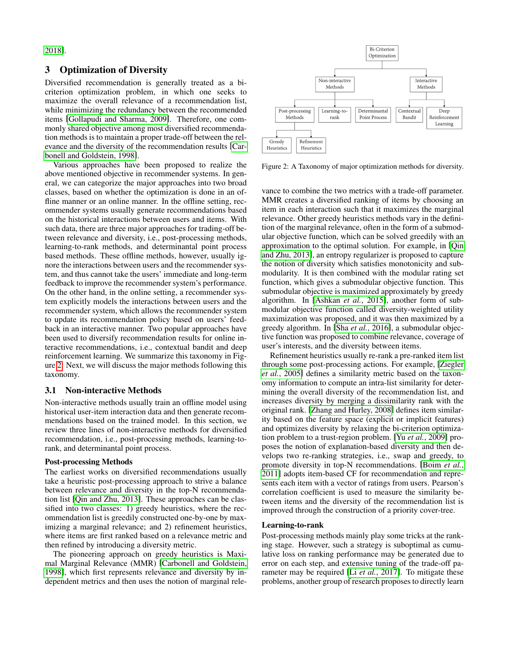[2018\]](#page-5-16).

#### 3 Optimization of Diversity

Diversified recommendation is generally treated as a bicriterion optimization problem, in which one seeks to maximize the overall relevance of a recommendation list, while minimizing the redundancy between the recommended items [\[Gollapudi and Sharma, 2009\]](#page-5-17). Therefore, one commonly shared objective among most diversified recommendation methods is to maintain a proper trade-off between the relevance and the diversity of the recommendation results [\[Car](#page-5-0)[bonell and Goldstein, 1998\]](#page-5-0).

Various approaches have been proposed to realize the above mentioned objective in recommender systems. In general, we can categorize the major approaches into two broad classes, based on whether the optimization is done in an offline manner or an online manner. In the offline setting, recommender systems usually generate recommendations based on the historical interactions between users and items. With such data, there are three major approaches for trading-off between relevance and diversity, i.e., post-processing methods, learning-to-rank methods, and determinantal point process based methods. These offline methods, however, usually ignore the interactions between users and the recommender system, and thus cannot take the users' immediate and long-term feedback to improve the recommender system's performance. On the other hand, in the online setting, a recommender system explicitly models the interactions between users and the recommender system, which allows the recommender system to update its recommendation policy based on users' feedback in an interactive manner. Two popular approaches have been used to diversify recommendation results for online interactive recommendations, i.e., contextual bandit and deep reinforcement learning. We summarize this taxonomy in Figure [2.](#page-2-0) Next, we will discuss the major methods following this taxonomy.

#### 3.1 Non-interactive Methods

Non-interactive methods usually train an offline model using historical user-item interaction data and then generate recommendations based on the trained model. In this section, we review three lines of non-interactive methods for diversified recommendation, i.e., post-processing methods, learning-torank, and determinantal point process.

#### Post-processing Methods

The earliest works on diversified recommendations usually take a heuristic post-processing approach to strive a balance between relevance and diversity in the top-N recommendation list [\[Qin and Zhu, 2013\]](#page-6-11). These approaches can be classified into two classes: 1) greedy heuristics, where the recommendation list is greedily constructed one-by-one by maximizing a marginal relevance; and 2) refinement heuristics, where items are first ranked based on a relevance metric and then refined by introducing a diversity metric.

The pioneering approach on greedy heuristics is Maximal Marginal Relevance (MMR) [\[Carbonell and Goldstein,](#page-5-0) [1998\]](#page-5-0), which first represents relevance and diversity by independent metrics and then uses the notion of marginal rele-

<span id="page-2-0"></span>

Figure 2: A Taxonomy of major optimization methods for diversity.

vance to combine the two metrics with a trade-off parameter. MMR creates a diversified ranking of items by choosing an item in each interaction such that it maximizes the marginal relevance. Other greedy heuristics methods vary in the definition of the marginal relevance, often in the form of a submodular objective function, which can be solved greedily with an approximation to the optimal solution. For example, in [\[Qin](#page-6-11) [and Zhu, 2013\]](#page-6-11), an entropy regularizer is proposed to capture the notion of diversity which satisfies monotonicity and submodularity. It is then combined with the modular rating set function, which gives a submodular objective function. This submodular objective is maximized approximately by greedy algorithm. In [\[Ashkan](#page-5-3) *et al.*, 2015], another form of submodular objective function called diversity-weighted utility maximization was proposed, and it was then maximized by a greedy algorithm. In [Sha *et al.*[, 2016\]](#page-6-17), a submodular objective function was proposed to combine relevance, coverage of user's interests, and the diversity between items.

Refinement heuristics usually re-rank a pre-ranked item list through some post-processing actions. For example, [\[Ziegler](#page-6-7) *et al.*[, 2005\]](#page-6-7) defines a similarity metric based on the taxonomy information to compute an intra-list similarity for determining the overall diversity of the recommendation list, and increases diversity by merging a dissimilarity rank with the original rank. [\[Zhang and Hurley, 2008\]](#page-6-9) defines item similarity based on the feature space (explicit or implicit features) and optimizes diversity by relaxing the bi-criterion optimization problem to a trust-region problem. [Yu *et al.*[, 2009\]](#page-6-18) proposes the notion of explanation-based diversity and then develops two re-ranking strategies, i.e., swap and greedy, to promote diversity in top-N recommendations. [\[Boim](#page-5-18) *et al.*, [2011\]](#page-5-18) adopts item-based CF for recommendation and represents each item with a vector of ratings from users. Pearson's correlation coefficient is used to measure the similarity between items and the diversity of the recommendation list is improved through the construction of a priority cover-tree.

#### Learning-to-rank

Post-processing methods mainly play some tricks at the ranking stage. However, such a strategy is suboptimal as cumulative loss on ranking performance may be generated due to error on each step, and extensive tuning of the trade-off parameter may be required [Li *et al.*[, 2017\]](#page-6-19). To mitigate these problems, another group of research proposes to directly learn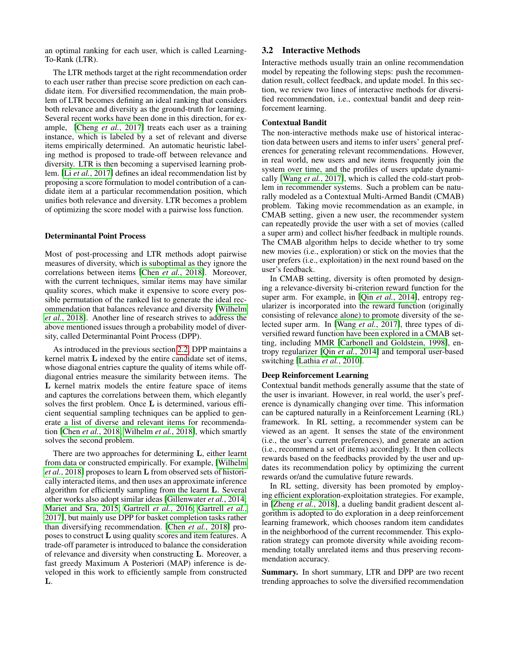an optimal ranking for each user, which is called Learning-To-Rank (LTR).

The LTR methods target at the right recommendation order to each user rather than precise score prediction on each candidate item. For diversified recommendation, the main problem of LTR becomes defining an ideal ranking that considers both relevance and diversity as the ground-truth for learning. Several recent works have been done in this direction, for example, [Cheng *et al.*[, 2017\]](#page-5-12) treats each user as a training instance, which is labeled by a set of relevant and diverse items empirically determined. An automatic heuristic labeling method is proposed to trade-off between relevance and diversity. LTR is then becoming a supervised learning problem. [Li *et al.*[, 2017\]](#page-6-19) defines an ideal recommendation list by proposing a score formulation to model contribution of a candidate item at a particular recommendation position, which unifies both relevance and diversity. LTR becomes a problem of optimizing the score model with a pairwise loss function.

#### Determinantal Point Process

Most of post-processing and LTR methods adopt pairwise measures of diversity, which is suboptimal as they ignore the correlations between items [Chen *et al.*[, 2018\]](#page-5-16). Moreover, with the current techniques, similar items may have similar quality scores, which make it expensive to score every possible permutation of the ranked list to generate the ideal recommendation that balances relevance and diversity [\[Wilhelm](#page-6-16) *et al.*[, 2018\]](#page-6-16). Another line of research strives to address the above mentioned issues through a probability model of diversity, called Determinantal Point Process (DPP).

As introduced in the previous section [2.2,](#page-1-1) DPP maintains a kernel matrix L indexed by the entire candidate set of items, whose diagonal entries capture the quality of items while offdiagonal entries measure the similarity between items. The L kernel matrix models the entire feature space of items and captures the correlations between them, which elegantly solves the first problem. Once L is determined, various efficient sequential sampling techniques can be applied to generate a list of diverse and relevant items for recommendation [Chen *et al.*[, 2018;](#page-5-16) [Wilhelm](#page-6-16) *et al.*, 2018], which smartly solves the second problem.

There are two approaches for determining L, either learnt from data or constructed empirically. For example, [\[Wilhelm](#page-6-16) *et al.*[, 2018\]](#page-6-16) proposes to learn L from observed sets of historically interacted items, and then uses an approximate inference algorithm for efficiently sampling from the learnt L. Several other works also adopt similar ideas [\[Gillenwater](#page-5-13) *et al.*, 2014; [Mariet and Sra, 2015;](#page-6-15) [Gartrell](#page-5-14) *et al.*, 2016; [Gartrell](#page-5-15) *et al.*, [2017\]](#page-5-15), but mainly use DPP for basket completion tasks rather than diversifying recommendation. [Chen *et al.*[, 2018\]](#page-5-16) proposes to construct L using quality scores and item features. A trade-off parameter is introduced to balance the consideration of relevance and diversity when constructing L. Moreover, a fast greedy Maximum A Posteriori (MAP) inference is developed in this work to efficiently sample from constructed L.

#### 3.2 Interactive Methods

Interactive methods usually train an online recommendation model by repeating the following steps: push the recommendation result, collect feedback, and update model. In this section, we review two lines of interactive methods for diversified recommendation, i.e., contextual bandit and deep reinforcement learning.

#### Contextual Bandit

The non-interactive methods make use of historical interaction data between users and items to infer users' general preferences for generating relevant recommendations. However, in real world, new users and new items frequently join the system over time, and the profiles of users update dynamically [Wang *et al.*[, 2017\]](#page-6-20), which is called the cold-start problem in recommender systems. Such a problem can be naturally modeled as a Contextual Multi-Armed Bandit (CMAB) problem. Taking movie recommendation as an example, in CMAB setting, given a new user, the recommender system can repeatedly provide the user with a set of movies (called a super arm) and collect his/her feedback in multiple rounds. The CMAB algorithm helps to decide whether to try some new movies (i.e., exploration) or stick on the movies that the user prefers (i.e., exploitation) in the next round based on the user's feedback.

In CMAB setting, diversity is often promoted by designing a relevance-diversity bi-criterion reward function for the super arm. For example, in [Qin *et al.*[, 2014\]](#page-6-21), entropy regularizer is incorporated into the reward function (originally consisting of relevance alone) to promote diversity of the selected super arm. In [Wang *et al.*[, 2017\]](#page-6-20), three types of diversified reward function have been explored in a CMAB setting, including MMR [\[Carbonell and Goldstein, 1998\]](#page-5-0), entropy regularizer [Qin *et al.*[, 2014\]](#page-6-21) and temporal user-based switching [\[Lathia](#page-5-19) *et al.*, 2010].

#### Deep Reinforcement Learning

Contextual bandit methods generally assume that the state of the user is invariant. However, in real world, the user's preference is dynamically changing over time. This information can be captured naturally in a Reinforcement Learning (RL) framework. In RL setting, a recommender system can be viewed as an agent. It senses the state of the environment (i.e., the user's current preferences), and generate an action (i.e., recommend a set of items) accordingly. It then collects rewards based on the feedbacks provided by the user and updates its recommendation policy by optimizing the current rewards or/and the cumulative future rewards.

In RL setting, diversity has been promoted by employing efficient exploration-exploitation strategies. For example, in [Zheng *et al.*[, 2018\]](#page-6-22), a dueling bandit gradient descent algorithm is adopted to do exploration in a deep reinforcement learning framework, which chooses random item candidates in the neighborhood of the current recommender. This exploration strategy can promote diversity while avoiding recommending totally unrelated items and thus preserving recommendation accuracy.

Summary. In short summary, LTR and DPP are two recent trending approaches to solve the diversified recommendation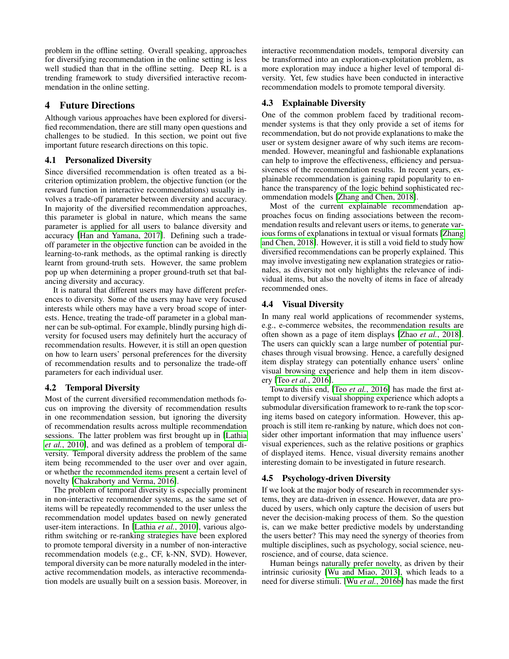problem in the offline setting. Overall speaking, approaches for diversifying recommendation in the online setting is less well studied than that in the offline setting. Deep RL is a trending framework to study diversified interactive recommendation in the online setting.

## 4 Future Directions

Although various approaches have been explored for diversified recommendation, there are still many open questions and challenges to be studied. In this section, we point out five important future research directions on this topic.

### 4.1 Personalized Diversity

Since diversified recommendation is often treated as a bicriterion optimization problem, the objective function (or the reward function in interactive recommendations) usually involves a trade-off parameter between diversity and accuracy. In majority of the diversified recommendation approaches, this parameter is global in nature, which means the same parameter is applied for all users to balance diversity and accuracy [\[Han and Yamana, 2017\]](#page-5-5). Defining such a tradeoff parameter in the objective function can be avoided in the learning-to-rank methods, as the optimal ranking is directly learnt from ground-truth sets. However, the same problem pop up when determining a proper ground-truth set that balancing diversity and accuracy.

It is natural that different users may have different preferences to diversity. Some of the users may have very focused interests while others may have a very broad scope of interests. Hence, treating the trade-off parameter in a global manner can be sub-optimal. For example, blindly pursing high diversity for focused users may definitely hurt the accuracy of recommendation results. However, it is still an open question on how to learn users' personal preferences for the diversity of recommendation results and to personalize the trade-off parameters for each individual user.

### 4.2 Temporal Diversity

Most of the current diversified recommendation methods focus on improving the diversity of recommendation results in one recommendation session, but ignoring the diversity of recommendation results across multiple recommendation sessions. The latter problem was first brought up in [\[Lathia](#page-5-19) *et al.*[, 2010\]](#page-5-19), and was defined as a problem of temporal diversity. Temporal diversity address the problem of the same item being recommended to the user over and over again, or whether the recommended items present a certain level of novelty [\[Chakraborty and Verma, 2016\]](#page-5-4).

The problem of temporal diversity is especially prominent in non-interactive recommender systems, as the same set of items will be repeatedly recommended to the user unless the recommendation model updates based on newly generated user-item interactions. In [Lathia *et al.*[, 2010\]](#page-5-19), various algorithm switching or re-ranking strategies have been explored to promote temporal diversity in a number of non-interactive recommendation models (e.g., CF, k-NN, SVD). However, temporal diversity can be more naturally modeled in the interactive recommendation models, as interactive recommendation models are usually built on a session basis. Moreover, in interactive recommendation models, temporal diversity can be transformed into an exploration-exploitation problem, as more exploration may induce a higher level of temporal diversity. Yet, few studies have been conducted in interactive recommendation models to promote temporal diversity.

## 4.3 Explainable Diversity

One of the common problem faced by traditional recommender systems is that they only provide a set of items for recommendation, but do not provide explanations to make the user or system designer aware of why such items are recommended. However, meaningful and fashionable explanations can help to improve the effectiveness, efficiency and persuasiveness of the recommendation results. In recent years, explainable recommendation is gaining rapid popularity to enhance the transparency of the logic behind sophisticated recommendation models [\[Zhang and Chen, 2018\]](#page-6-23).

Most of the current explainable recommendation approaches focus on finding associations between the recommendation results and relevant users or items, to generate various forms of explanations in textual or visual formats [\[Zhang](#page-6-23) [and Chen, 2018\]](#page-6-23). However, it is still a void field to study how diversified recommendations can be properly explained. This may involve investigating new explanation strategies or rationales, as diversity not only highlights the relevance of individual items, but also the novelty of items in face of already recommended ones.

# 4.4 Visual Diversity

In many real world applications of recommender systems, e.g., e-commerce websites, the recommendation results are often shown as a page of item displays [Zhao *et al.*[, 2018\]](#page-6-24). The users can quickly scan a large number of potential purchases through visual browsing. Hence, a carefully designed item display strategy can potentially enhance users' online visual browsing experience and help them in item discovery [Teo *et al.*[, 2016\]](#page-6-25).

Towards this end, [Teo *et al.*[, 2016\]](#page-6-25) has made the first attempt to diversify visual shopping experience which adopts a submodular diversification framework to re-rank the top scoring items based on category information. However, this approach is still item re-ranking by nature, which does not consider other important information that may influence users' visual experiences, such as the relative positions or graphics of displayed items. Hence, visual diversity remains another interesting domain to be investigated in future research.

### 4.5 Psychology-driven Diversity

If we look at the major body of research in recommender systems, they are data-driven in essence. However, data are produced by users, which only capture the decision of users but never the decision-making process of them. So the question is, can we make better predictive models by understanding the users better? This may need the synergy of theories from multiple disciplines, such as psychology, social science, neuroscience, and of course, data science.

Human beings naturally prefer novelty, as driven by their intrinsic curiosity [\[Wu and Miao, 2013\]](#page-6-26), which leads to a need for diverse stimuli. [Wu *et al.*[, 2016b\]](#page-6-10) has made the first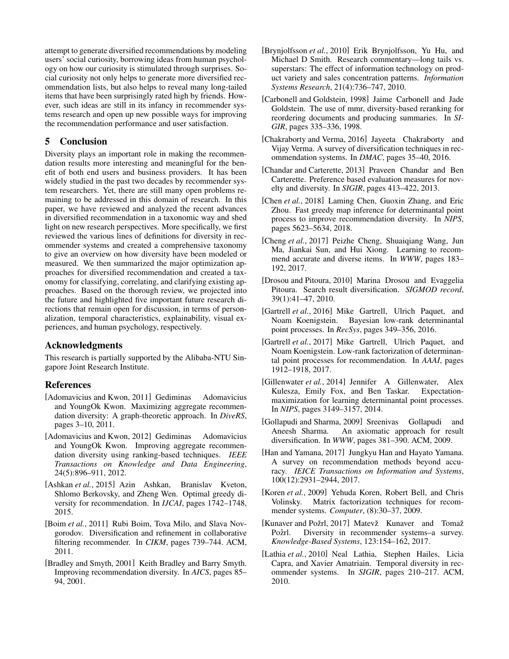attempt to generate diversified recommendations by modeling users' social curiosity, borrowing ideas from human psychology on how our curiosity is stimulated through surprises. Social curiosity not only helps to generate more diversified recommendation lists, but also helps to reveal many long-tailed items that have been surprisingly rated high by friends. However, such ideas are still in its infancy in recommender systems research and open up new possible ways for improving the recommendation performance and user satisfaction.

# 5 Conclusion

Diversity plays an important role in making the recommendation results more interesting and meaningful for the benefit of both end users and business providers. It has been widely studied in the past two decades by recommender system researchers. Yet, there are still many open problems remaining to be addressed in this domain of research. In this paper, we have reviewed and analyzed the recent advances in diversified recommendation in a taxonomic way and shed light on new research perspectives. More specifically, we first reviewed the various lines of definitions for diversity in recommender systems and created a comprehensive taxonomy to give an overview on how diversity have been modeled or measured. We then summarized the major optimization approaches for diversified recommendation and created a taxonomy for classifying, correlating, and clarifying existing approaches. Based on the thorough review, we projected into the future and highlighted five important future research directions that remain open for discussion, in terms of personalization, temporal characteristics, explainability, visual experiences, and human psychology, respectively.

### Acknowledgments

This research is partially supported by the Alibaba-NTU Singapore Joint Research Institute.

### References

- <span id="page-5-9"></span>[Adomavicius and Kwon, 2011] Gediminas Adomavicius and YoungOk Kwon. Maximizing aggregate recommendation diversity: A graph-theoretic approach. In *DiveRS*, pages 3–10, 2011.
- <span id="page-5-7"></span>[Adomavicius and Kwon, 2012] Gediminas Adomavicius and YoungOk Kwon. Improving aggregate recommendation diversity using ranking-based techniques. *IEEE Transactions on Knowledge and Data Engineering*, 24(5):896–911, 2012.
- <span id="page-5-3"></span>[Ashkan *et al.*, 2015] Azin Ashkan, Branislav Kveton, Shlomo Berkovsky, and Zheng Wen. Optimal greedy diversity for recommendation. In *IJCAI*, pages 1742–1748, 2015.
- <span id="page-5-18"></span>[Boim *et al.*, 2011] Rubi Boim, Tova Milo, and Slava Novgorodov. Diversification and refinement in collaborative filtering recommender. In *CIKM*, pages 739–744. ACM, 2011.
- <span id="page-5-2"></span>[Bradley and Smyth, 2001] Keith Bradley and Barry Smyth. Improving recommendation diversity. In *AICS*, pages 85– 94, 2001.
- <span id="page-5-8"></span>[Brynjolfsson *et al.*, 2010] Erik Brynjolfsson, Yu Hu, and Michael D Smith. Research commentary—long tails vs. superstars: The effect of information technology on product variety and sales concentration patterns. *Information Systems Research*, 21(4):736–747, 2010.
- <span id="page-5-0"></span>[Carbonell and Goldstein, 1998] Jaime Carbonell and Jade Goldstein. The use of mmr, diversity-based reranking for reordering documents and producing summaries. In *SI-GIR*, pages 335–336, 1998.
- <span id="page-5-4"></span>[Chakraborty and Verma, 2016] Jayeeta Chakraborty and Vijay Verma. A survey of diversification techniques in recommendation systems. In *DMAC*, pages 35–40, 2016.
- <span id="page-5-11"></span>[Chandar and Carterette, 2013] Praveen Chandar and Ben Carterette. Preference based evaluation measures for novelty and diversity. In *SIGIR*, pages 413–422, 2013.
- <span id="page-5-16"></span>[Chen *et al.*, 2018] Laming Chen, Guoxin Zhang, and Eric Zhou. Fast greedy map inference for determinantal point process to improve recommendation diversity. In *NIPS*, pages 5623–5634, 2018.
- <span id="page-5-12"></span>[Cheng *et al.*, 2017] Peizhe Cheng, Shuaiqiang Wang, Jun Ma, Jiankai Sun, and Hui Xiong. Learning to recommend accurate and diverse items. In *WWW*, pages 183– 192, 2017.
- <span id="page-5-1"></span>[Drosou and Pitoura, 2010] Marina Drosou and Evaggelia Pitoura. Search result diversification. *SIGMOD record*, 39(1):41–47, 2010.
- <span id="page-5-14"></span>[Gartrell *et al.*, 2016] Mike Gartrell, Ulrich Paquet, and Noam Koenigstein. Bayesian low-rank determinantal point processes. In *RecSys*, pages 349–356, 2016.
- <span id="page-5-15"></span>[Gartrell *et al.*, 2017] Mike Gartrell, Ulrich Paquet, and Noam Koenigstein. Low-rank factorization of determinantal point processes for recommendation. In *AAAI*, pages 1912–1918, 2017.
- <span id="page-5-13"></span>[Gillenwater *et al.*, 2014] Jennifer A Gillenwater, Alex Kulesza, Emily Fox, and Ben Taskar. Expectationmaximization for learning determinantal point processes. In *NIPS*, pages 3149–3157, 2014.
- <span id="page-5-17"></span>[Gollapudi and Sharma, 2009] Sreenivas Gollapudi and Aneesh Sharma. An axiomatic approach for result diversification. In *WWW*, pages 381–390. ACM, 2009.
- <span id="page-5-5"></span>[Han and Yamana, 2017] Jungkyu Han and Hayato Yamana. A survey on recommendation methods beyond accuracy. *IEICE Transactions on Information and Systems*, 100(12):2931–2944, 2017.
- <span id="page-5-10"></span>[Koren *et al.*, 2009] Yehuda Koren, Robert Bell, and Chris Volinsky. Matrix factorization techniques for recommender systems. *Computer*, (8):30–37, 2009.
- <span id="page-5-6"></span>[Kunaver and Požrl, 2017] Matevž Kunaver and Tomaž Požrl. Diversity in recommender systems-a survey. *Knowledge-Based Systems*, 123:154–162, 2017.
- <span id="page-5-19"></span>[Lathia *et al.*, 2010] Neal Lathia, Stephen Hailes, Licia Capra, and Xavier Amatriain. Temporal diversity in recommender systems. In *SIGIR*, pages 210–217. ACM, 2010.